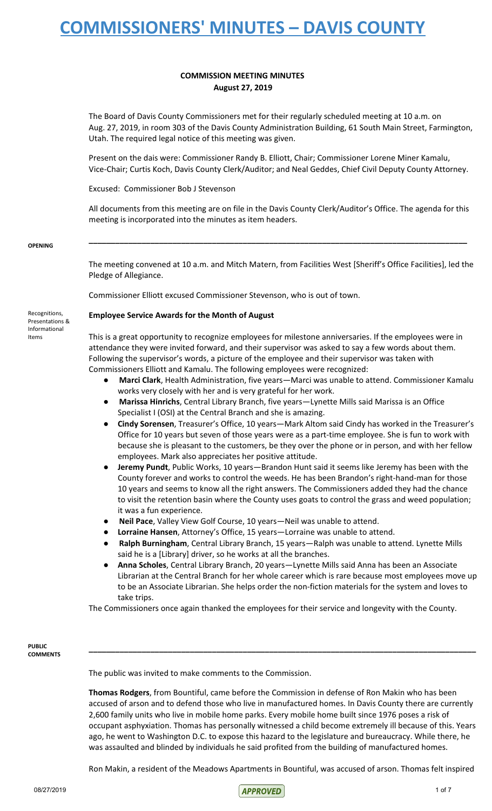#### **COMMISSION MEETING MINUTES August 27, 2019**

The Board of Davis County Commissioners met for their regularly scheduled meeting at 10 a.m. on Aug. 27, 2019, in room 303 of the Davis County Administration Building, 61 South Main Street, Farmington, Utah. The required legal notice of this meeting was given.

Present on the dais were: Commissioner Randy B. Elliott, Chair; Commissioner Lorene Miner Kamalu, Vice-Chair; Curtis Koch, Davis County Clerk/Auditor; and Neal Geddes, Chief Civil Deputy County Attorney.

Excused: Commissioner Bob J Stevenson

All documents from this meeting are on file in the Davis County Clerk/Auditor's Office. The agenda for this meeting is incorporated into the minutes as item headers.

**\_\_\_\_\_\_\_\_\_\_\_\_\_\_\_\_\_\_\_\_\_\_\_\_\_\_\_\_\_\_\_\_\_\_\_\_\_\_\_\_\_\_\_\_\_\_\_\_\_\_\_\_\_\_\_\_\_\_\_\_\_\_\_\_\_\_\_\_\_\_\_\_\_\_\_\_\_\_\_\_\_\_\_\_\_\_**

#### **OPENING**

The meeting convened at 10 a.m. and Mitch Matern, from Facilities West [Sheriff's Office Facilities], led the Pledge of Allegiance.

Commissioner Elliott excused Commissioner Stevenson, who is out of town.

**Employee Service Awards for the Month of August**

This is a great opportunity to recognize employees for milestone anniversaries. If the employees were in attendance they were invited forward, and their supervisor was asked to say a few words about them. Following the supervisor's words, a picture of the employee and their supervisor was taken with Commissioners Elliott and Kamalu. The following employees were recognized:

- **Marci Clark**, Health Administration, five years—Marci was unable to attend. Commissioner Kamalu works very closely with her and is very grateful for her work.
- **Marissa Hinrichs**, Central Library Branch, five years—Lynette Mills said Marissa is an Office Specialist I (OSI) at the Central Branch and she is amazing.
- **Cindy Sorensen**, Treasurer's Office, 10 years—Mark Altom said Cindy has worked in the Treasurer's Office for 10 years but seven of those years were as a part-time employee. She is fun to work with because she is pleasant to the customers, be they over the phone or in person, and with her fellow employees. Mark also appreciates her positive attitude.
- **Jeremy Pundt**, Public Works, 10 years—Brandon Hunt said it seems like Jeremy has been with the County forever and works to control the weeds. He has been Brandon's right-hand-man for those 10 years and seems to know all the right answers. The Commissioners added they had the chance to visit the retention basin where the County uses goats to control the grass and weed population; it was a fun experience.
- **Neil Pace**, Valley View Golf Course, 10 years—Neil was unable to attend.
- Lorraine Hansen, Attorney's Office, 15 years—Lorraine was unable to attend.
- **Ralph Burningham**, Central Library Branch, 15 years—Ralph was unable to attend. Lynette Mills said he is a [Library] driver, so he works at all the branches.
- **Anna Scholes**, Central Library Branch, 20 years—Lynette Mills said Anna has been an Associate Librarian at the Central Branch for her whole career which is rare because most employees move up to be an Associate Librarian. She helps order the non-fiction materials for the system and loves to take trips.

The Commissioners once again thanked the employees for their service and longevity with the County.

#### **PUBLIC COMMENTS**

The public was invited to make comments to the Commission.

**Thomas Rodgers**, from Bountiful, came before the Commission in defense of Ron Makin who has been accused of arson and to defend those who live in manufactured homes. In Davis County there are currently 2,600 family units who live in mobile home parks. Every mobile home built since 1976 poses a risk of occupant asphyxiation. Thomas has personally witnessed a child become extremely ill because of this. Years ago, he went to Washington D.C. to expose this hazard to the legislature and bureaucracy. While there, he was assaulted and blinded by individuals he said profited from the building of manufactured homes.

**\_\_\_\_\_\_\_\_\_\_\_\_\_\_\_\_\_\_\_\_\_\_\_\_\_\_\_\_\_\_\_\_\_\_\_\_\_\_\_\_\_\_\_\_\_\_\_\_\_\_\_\_\_\_\_\_\_\_\_\_\_\_\_\_\_\_\_\_\_\_\_\_\_\_\_\_\_\_\_\_\_\_\_\_\_\_\_\_**

Ron Makin, a resident of the Meadows Apartments in Bountiful, was accused of arson. Thomas felt inspired

Recognitions, Presentations & Informational

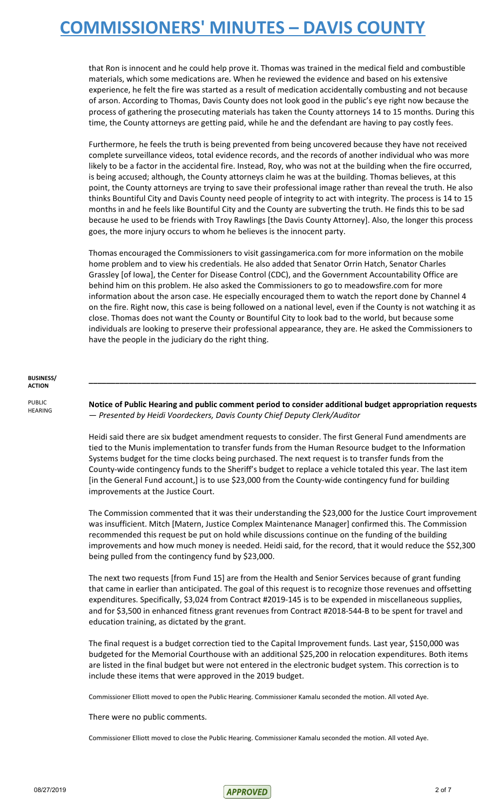that Ron is innocent and he could help prove it. Thomas was trained in the medical field and combustible materials, which some medications are. When he reviewed the evidence and based on his extensive experience, he felt the fire was started as a result of medication accidentally combusting and not because of arson. According to Thomas, Davis County does not look good in the public's eye right now because the process of gathering the prosecuting materials has taken the County attorneys 14 to 15 months. During this time, the County attorneys are getting paid, while he and the defendant are having to pay costly fees.

Furthermore, he feels the truth is being prevented from being uncovered because they have not received complete surveillance videos, total evidence records, and the records of another individual who was more likely to be a factor in the accidental fire. Instead, Roy, who was not at the building when the fire occurred, is being accused; although, the County attorneys claim he was at the building. Thomas believes, at this point, the County attorneys are trying to save their professional image rather than reveal the truth. He also thinks Bountiful City and Davis County need people of integrity to act with integrity. The process is 14 to 15 months in and he feels like Bountiful City and the County are subverting the truth. He finds this to be sad because he used to be friends with Troy Rawlings [the Davis County Attorney]. Also, the longer this process goes, the more injury occurs to whom he believes is the innocent party.

Thomas encouraged the Commissioners to visit gassingamerica.com for more information on the mobile home problem and to view his credentials. He also added that Senator Orrin Hatch, Senator Charles Grassley [of Iowa], the Center for Disease Control (CDC), and the Government Accountability Office are behind him on this problem. He also asked the Commissioners to go to meadowsfire.com for more information about the arson case. He especially encouraged them to watch the report done by Channel 4 on the fire. Right now, this case is being followed on a national level, even if the County is not watching it as close. Thomas does not want the County or Bountiful City to look bad to the world, but because some individuals are looking to preserve their professional appearance, they are. He asked the Commissioners to have the people in the judiciary do the right thing.

#### **BUSINESS/ ACTION**

PUBLIC HEARING

**Notice of Public Hearing and public comment period to consider additional budget appropriation requests** — *Presented by Heidi Voordeckers, Davis County Chief Deputy Clerk/Auditor*

**\_\_\_\_\_\_\_\_\_\_\_\_\_\_\_\_\_\_\_\_\_\_\_\_\_\_\_\_\_\_\_\_\_\_\_\_\_\_\_\_\_\_\_\_\_\_\_\_\_\_\_\_\_\_\_\_\_\_\_\_\_\_\_\_\_\_\_\_\_\_\_\_\_\_\_\_\_\_\_\_\_\_\_\_\_\_\_\_**

Heidi said there are six budget amendment requests to consider. The first General Fund amendments are tied to the Munis implementation to transfer funds from the Human Resource budget to the Information Systems budget for the time clocks being purchased. The next request is to transfer funds from the County-wide contingency funds to the Sheriff's budget to replace a vehicle totaled this year. The last item [in the General Fund account,] is to use \$23,000 from the County-wide contingency fund for building improvements at the Justice Court.

The Commission commented that it was their understanding the \$23,000 for the Justice Court improvement was insufficient. Mitch [Matern, Justice Complex Maintenance Manager] confirmed this. The Commission recommended this request be put on hold while discussions continue on the funding of the building improvements and how much money is needed. Heidi said, for the record, that it would reduce the \$52,300 being pulled from the contingency fund by \$23,000.

The next two requests [from Fund 15] are from the Health and Senior Services because of grant funding that came in earlier than anticipated. The goal of this request is to recognize those revenues and offsetting expenditures. Specifically, \$3,024 from Contract #2019-145 is to be expended in miscellaneous supplies, and for \$3,500 in enhanced fitness grant revenues from Contract #2018-544-B to be spent for travel and education training, as dictated by the grant.

The final request is a budget correction tied to the Capital Improvement funds. Last year, \$150,000 was budgeted for the Memorial Courthouse with an additional \$25,200 in relocation expenditures. Both items are listed in the final budget but were not entered in the electronic budget system. This correction is to include these items that were approved in the 2019 budget.

Commissioner Elliott moved to open the Public Hearing. Commissioner Kamalu seconded the motion. All voted Aye.

There were no public comments.

Commissioner Elliott moved to close the Public Hearing. Commissioner Kamalu seconded the motion. All voted Aye.

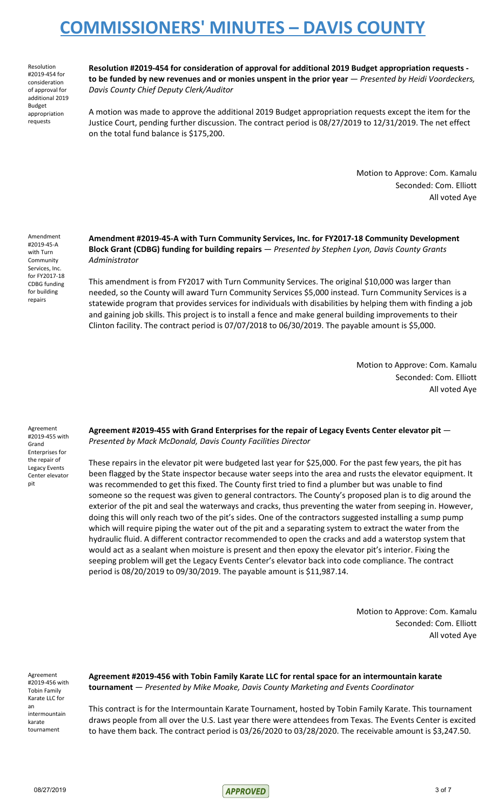Resolution #2019-454 for consideration of approval for additional 2019 Budget appropriation requests

**Resolution #2019-454 for consideration of approval for additional 2019 Budget appropriation requests**  to be funded by new revenues and or monies unspent in the prior year - Presented by Heidi Voordeckers, *Davis County Chief Deputy Clerk/Auditor*

A motion was made to approve the additional 2019 Budget appropriation requests except the item for the Justice Court, pending further discussion. The contract period is 08/27/2019 to 12/31/2019. The net effect on the total fund balance is \$175,200.

> Motion to Approve: Com. Kamalu Seconded: Com. Elliott All voted Aye

Amendment #2019-45-A with Turn Community Services, Inc. for FY2017-18 CDBG funding for building repairs

**Amendment #2019-45-A with Turn Community Services, Inc. for FY2017-18 Community Development Block Grant (CDBG) funding for building repairs** — *Presented by Stephen Lyon, Davis County Grants Administrator*

This amendment is from FY2017 with Turn Community Services. The original \$10,000 was larger than needed, so the County will award Turn Community Services \$5,000 instead. Turn Community Services is a statewide program that provides services for individuals with disabilities by helping them with finding a job and gaining job skills. This project is to install a fence and make general building improvements to their Clinton facility. The contract period is 07/07/2018 to 06/30/2019. The payable amount is \$5,000.

> Motion to Approve: Com. Kamalu Seconded: Com. Elliott All voted Aye

Agreement #2019-455 with Grand Enterprises for the repair of Legacy Events Center elevator pit

**Agreement #2019-455 with Grand Enterprises for the repair of Legacy Events Center elevator pit** — *Presented by Mack McDonald, Davis County Facilities Director*

These repairs in the elevator pit were budgeted last year for \$25,000. For the past few years, the pit has been flagged by the State inspector because water seeps into the area and rusts the elevator equipment. It was recommended to get this fixed. The County first tried to find a plumber but was unable to find someone so the request was given to general contractors. The County's proposed plan is to dig around the exterior of the pit and seal the waterways and cracks, thus preventing the water from seeping in. However, doing this will only reach two of the pit's sides. One of the contractors suggested installing a sump pump which will require piping the water out of the pit and a separating system to extract the water from the hydraulic fluid. A different contractor recommended to open the cracks and add a waterstop system that would act as a sealant when moisture is present and then epoxy the elevator pit's interior. Fixing the seeping problem will get the Legacy Events Center's elevator back into code compliance. The contract period is 08/20/2019 to 09/30/2019. The payable amount is \$11,987.14.

> Motion to Approve: Com. Kamalu Seconded: Com. Elliott All voted Aye

Agreement #2019-456 with Tobin Family Karate LLC for an intermountain karate tournament

**Agreement #2019-456 with Tobin Family Karate LLC for rental space for an intermountain karate tournament** — *Presented by Mike Moake, Davis County Marketing and Events Coordinator*

This contract is for the Intermountain Karate Tournament, hosted by Tobin Family Karate. This tournament draws people from all over the U.S. Last year there were attendees from Texas. The Events Center is excited to have them back. The contract period is 03/26/2020 to 03/28/2020. The receivable amount is \$3,247.50.

 $08/27/2019$  3 of 7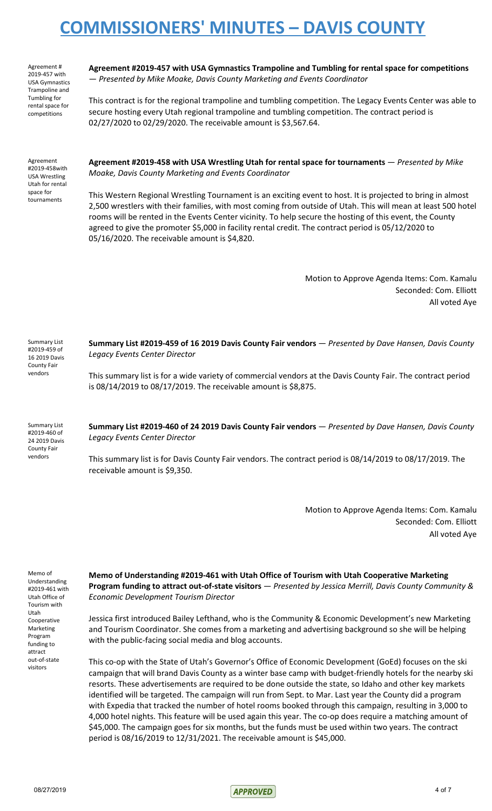Agreement # 2019-457 with USA Gymnastics Trampoline and Tumbling for rental space for competitions

**Agreement #2019-457 with USA Gymnastics Trampoline and Tumbling for rental space for competitions** — *Presented by Mike Moake, Davis County Marketing and Events Coordinator*

This contract is for the regional trampoline and tumbling competition. The Legacy Events Center was able to secure hosting every Utah regional trampoline and tumbling competition. The contract period is 02/27/2020 to 02/29/2020. The receivable amount is \$3,567.64.

Agreement #2019-458with USA Wrestling Utah for rental space for tournaments

**Agreement #2019-458 with USA Wrestling Utah for rental space for tournaments** — *Presented by Mike Moake, Davis County Marketing and Events Coordinator*

This Western Regional Wrestling Tournament is an exciting event to host. It is projected to bring in almost 2,500 wrestlers with their families, with most coming from outside of Utah. This will mean at least 500 hotel rooms will be rented in the Events Center vicinity. To help secure the hosting of this event, the County agreed to give the promoter \$5,000 in facility rental credit. The contract period is 05/12/2020 to 05/16/2020. The receivable amount is \$4,820.

> Motion to Approve Agenda Items: Com. Kamalu Seconded: Com. Elliott All voted Aye

**Summary List #2019-459 of 16 2019 Davis County Fair vendors** — *Presented by Dave Hansen, Davis County Legacy Events Center Director*

This summary list is for a wide variety of commercial vendors at the Davis County Fair. The contract period is 08/14/2019 to 08/17/2019. The receivable amount is \$8,875.

Summary List #2019-460 of 24 2019 Davis County Fair vendors

Summary List #2019-459 of 16 2019 Davis County Fair vendors

> **Summary List #2019-460 of 24 2019 Davis County Fair vendors** — *Presented by Dave Hansen, Davis County Legacy Events Center Director*

This summary list is for Davis County Fair vendors. The contract period is 08/14/2019 to 08/17/2019. The receivable amount is \$9,350.

> Motion to Approve Agenda Items: Com. Kamalu Seconded: Com. Elliott All voted Aye

Memo of Understanding #2019-461 with Utah Office of Tourism with Utah Cooperative Marketing Program funding to attract out-of-state visitors

**Memo of Understanding #2019-461 with Utah Office of Tourism with Utah Cooperative Marketing Program funding to attract out-of-state visitors** — *Presented by Jessica Merrill, Davis County Community & Economic Development Tourism Director*

Jessica first introduced Bailey Lefthand, who is the Community & Economic Development's new Marketing and Tourism Coordinator. She comes from a marketing and advertising background so she will be helping with the public-facing social media and blog accounts.

This co-op with the State of Utah's Governor's Office of Economic Development (GoEd) focuses on the ski campaign that will brand Davis County as a winter base camp with budget-friendly hotels for the nearby ski resorts. These advertisements are required to be done outside the state, so Idaho and other key markets identified will be targeted. The campaign will run from Sept. to Mar. Last year the County did a program with Expedia that tracked the number of hotel rooms booked through this campaign, resulting in 3,000 to 4,000 hotel nights. This feature will be used again this year. The co-op does require a matching amount of \$45,000. The campaign goes for six months, but the funds must be used within two years. The contract period is 08/16/2019 to 12/31/2021. The receivable amount is \$45,000.

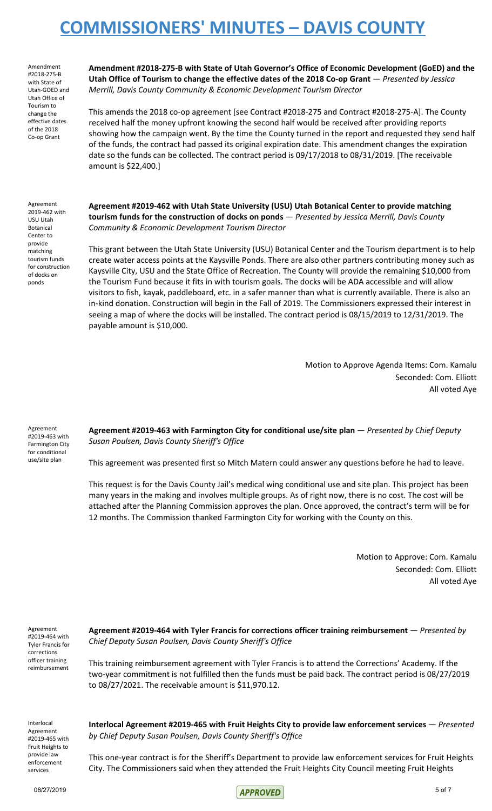Amendment #2018-275-B with State of Utah-GOED and Utah Office of Tourism to change the effective dates of the 2018 Co-op Grant

**Amendment #2018-275-B with State of Utah Governor's Office of Economic Development (GoED) and the Utah Office of Tourism to change the effective dates of the 2018 Co-op Grant** — *Presented by Jessica Merrill, Davis County Community & Economic Development Tourism Director*

This amends the 2018 co-op agreement [see Contract #2018-275 and Contract #2018-275-A]. The County received half the money upfront knowing the second half would be received after providing reports showing how the campaign went. By the time the County turned in the report and requested they send half of the funds, the contract had passed its original expiration date. This amendment changes the expiration date so the funds can be collected. The contract period is 09/17/2018 to 08/31/2019. [The receivable amount is \$22,400.]

Agreement 2019-462 with USU Utah Botanical Center to provide matching tourism funds for construction of docks on ponds

**Agreement #2019-462 with Utah State University (USU) Utah Botanical Center to provide matching tourism funds for the construction of docks on ponds** — *Presented by Jessica Merrill, Davis County Community & Economic Development Tourism Director*

This grant between the Utah State University (USU) Botanical Center and the Tourism department is to help create water access points at the Kaysville Ponds. There are also other partners contributing money such as Kaysville City, USU and the State Office of Recreation. The County will provide the remaining \$10,000 from the Tourism Fund because it fits in with tourism goals. The docks will be ADA accessible and will allow visitors to fish, kayak, paddleboard, etc. in a safer manner than what is currently available. There is also an in-kind donation. Construction will begin in the Fall of 2019. The Commissioners expressed their interest in seeing a map of where the docks will be installed. The contract period is 08/15/2019 to 12/31/2019. The payable amount is \$10,000.

> Motion to Approve Agenda Items: Com. Kamalu Seconded: Com. Elliott All voted Aye

Agreement #2019-463 with Farmington City for conditional use/site plan

**Agreement #2019-463 with Farmington City for conditional use/site plan** — *Presented by Chief Deputy Susan Poulsen, Davis County Sheriff's Office*

This agreement was presented first so Mitch Matern could answer any questions before he had to leave.

This request is for the Davis County Jail's medical wing conditional use and site plan. This project has been many years in the making and involves multiple groups. As of right now, there is no cost. The cost will be attached after the Planning Commission approves the plan. Once approved, the contract's term will be for 12 months. The Commission thanked Farmington City for working with the County on this.

> Motion to Approve: Com. Kamalu Seconded: Com. Elliott All voted Aye

Agreement #2019-464 with Tyler Francis for corrections officer training reimbursement

**Agreement #2019-464 with Tyler Francis for corrections officer training reimbursement** — *Presented by Chief Deputy Susan Poulsen, Davis County Sheriff's Office*

This training reimbursement agreement with Tyler Francis is to attend the Corrections' Academy. If the two-year commitment is not fulfilled then the funds must be paid back. The contract period is 08/27/2019 to 08/27/2021. The receivable amount is \$11,970.12.

Interlocal Agreement #2019-465 with Fruit Heights to provide law enforcement services

**Interlocal Agreement #2019-465 with Fruit Heights City to provide law enforcement services** — *Presented by Chief Deputy Susan Poulsen, Davis County Sheriff's Office*

This one-year contract is for the Sheriff's Department to provide law enforcement services for Fruit Heights City. The Commissioners said when they attended the Fruit Heights City Council meeting Fruit Heights

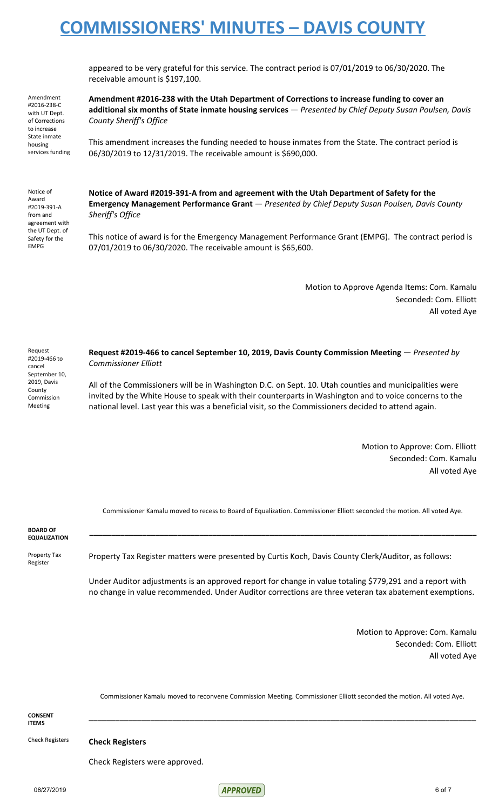appeared to be very grateful for this service. The contract period is 07/01/2019 to 06/30/2020. The receivable amount is \$197,100.

Amendment #2016-238-C with UT Dept. of Corrections to increase State inmate housing services funding

**Amendment #2016-238 with the Utah Department of Corrections to increase funding to cover an additional six months of State inmate housing services** — *Presented by Chief Deputy Susan Poulsen, Davis County Sheriff's Office*

This amendment increases the funding needed to house inmates from the State. The contract period is 06/30/2019 to 12/31/2019. The receivable amount is \$690,000.

Notice of Award #2019-391-A from and agreement with the UT Dept. of Safety for the EMPG

**Notice of Award #2019-391-A from and agreement with the Utah Department of Safety for the Emergency Management Performance Grant** — *Presented by Chief Deputy Susan Poulsen, Davis County Sheriff's Office*

This notice of award is for the Emergency Management Performance Grant (EMPG). The contract period is 07/01/2019 to 06/30/2020. The receivable amount is \$65,600.

> Motion to Approve Agenda Items: Com. Kamalu Seconded: Com. Elliott All voted Aye

Request #2019-466 to cancel September 10, 2019, Davis **County** Commission Meeting

**Request #2019-466 to cancel September 10, 2019, Davis County Commission Meeting** — *Presented by Commissioner Elliott*

All of the Commissioners will be in Washington D.C. on Sept. 10. Utah counties and municipalities were invited by the White House to speak with their counterparts in Washington and to voice concerns to the national level. Last year this was a beneficial visit, so the Commissioners decided to attend again.

> Motion to Approve: Com. Elliott Seconded: Com. Kamalu All voted Aye

Commissioner Kamalu moved to recess to Board of Equalization. Commissioner Elliott seconded the motion. All voted Aye.

**\_\_\_\_\_\_\_\_\_\_\_\_\_\_\_\_\_\_\_\_\_\_\_\_\_\_\_\_\_\_\_\_\_\_\_\_\_\_\_\_\_\_\_\_\_\_\_\_\_\_\_\_\_\_\_\_\_\_\_\_\_\_\_\_\_\_\_\_\_\_\_\_\_\_\_\_\_\_\_\_\_\_\_\_\_\_\_\_**

**BOARD OF EQUALIZATION**

Property Tax Register

Property Tax Register matters were presented by Curtis Koch, Davis County Clerk/Auditor, as follows:

Under Auditor adjustments is an approved report for change in value totaling \$779,291 and a report with no change in value recommended. Under Auditor corrections are three veteran tax abatement exemptions.

> Motion to Approve: Com. Kamalu Seconded: Com. Elliott All voted Aye

Commissioner Kamalu moved to reconvene Commission Meeting. Commissioner Elliott seconded the motion. All voted Aye.

**\_\_\_\_\_\_\_\_\_\_\_\_\_\_\_\_\_\_\_\_\_\_\_\_\_\_\_\_\_\_\_\_\_\_\_\_\_\_\_\_\_\_\_\_\_\_\_\_\_\_\_\_\_\_\_\_\_\_\_\_\_\_\_\_\_\_\_\_\_\_\_\_\_\_\_\_\_\_\_\_\_\_\_\_\_\_\_\_**

**CONSENT ITEMS**

Check Registers **Check Registers**

Check Registers were approved.

08/27/2019 6 of 7